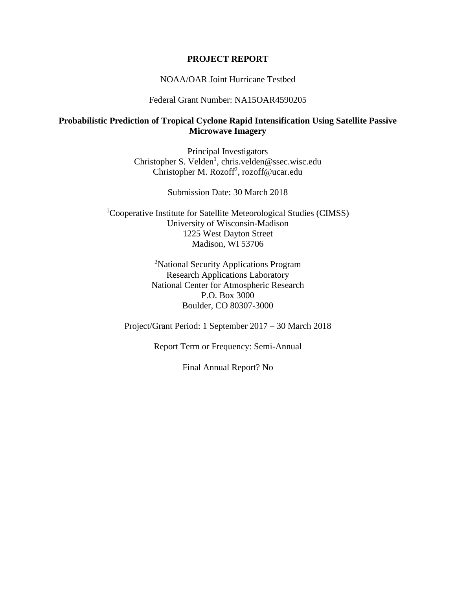#### **PROJECT REPORT**

#### NOAA/OAR Joint Hurricane Testbed

#### Federal Grant Number: NA15OAR4590205

### **Probabilistic Prediction of Tropical Cyclone Rapid Intensification Using Satellite Passive Microwave Imagery**

Principal Investigators Christopher S. Velden<sup>1</sup>, chris.velden@ssec.wisc.edu Christopher M. Rozoff<sup>2</sup>, rozoff@ucar.edu

Submission Date: 30 March 2018

<sup>1</sup>Cooperative Institute for Satellite Meteorological Studies (CIMSS) University of Wisconsin-Madison 1225 West Dayton Street Madison, WI 53706

> <sup>2</sup>National Security Applications Program Research Applications Laboratory National Center for Atmospheric Research P.O. Box 3000 Boulder, CO 80307-3000

Project/Grant Period: 1 September 2017 – 30 March 2018

Report Term or Frequency: Semi-Annual

Final Annual Report? No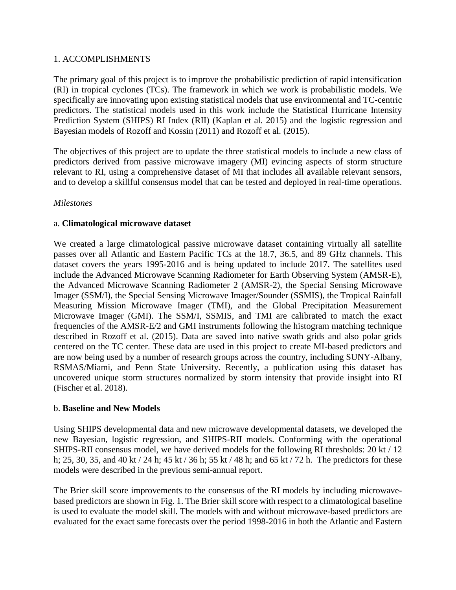### 1. ACCOMPLISHMENTS

The primary goal of this project is to improve the probabilistic prediction of rapid intensification (RI) in tropical cyclones (TCs). The framework in which we work is probabilistic models. We specifically are innovating upon existing statistical models that use environmental and TC-centric predictors. The statistical models used in this work include the Statistical Hurricane Intensity Prediction System (SHIPS) RI Index (RII) (Kaplan et al. 2015) and the logistic regression and Bayesian models of Rozoff and Kossin (2011) and Rozoff et al. (2015).

The objectives of this project are to update the three statistical models to include a new class of predictors derived from passive microwave imagery (MI) evincing aspects of storm structure relevant to RI, using a comprehensive dataset of MI that includes all available relevant sensors, and to develop a skillful consensus model that can be tested and deployed in real-time operations.

### *Milestones*

### a. **Climatological microwave dataset**

We created a large climatological passive microwave dataset containing virtually all satellite passes over all Atlantic and Eastern Pacific TCs at the 18.7, 36.5, and 89 GHz channels. This dataset covers the years 1995-2016 and is being updated to include 2017. The satellites used include the Advanced Microwave Scanning Radiometer for Earth Observing System (AMSR-E), the Advanced Microwave Scanning Radiometer 2 (AMSR-2), the Special Sensing Microwave Imager (SSM/I), the Special Sensing Microwave Imager/Sounder (SSMIS), the Tropical Rainfall Measuring Mission Microwave Imager (TMI), and the Global Precipitation Measurement Microwave Imager (GMI). The SSM/I, SSMIS, and TMI are calibrated to match the exact frequencies of the AMSR-E/2 and GMI instruments following the histogram matching technique described in Rozoff et al. (2015). Data are saved into native swath grids and also polar grids centered on the TC center. These data are used in this project to create MI-based predictors and are now being used by a number of research groups across the country, including SUNY-Albany, RSMAS/Miami, and Penn State University. Recently, a publication using this dataset has uncovered unique storm structures normalized by storm intensity that provide insight into RI (Fischer et al. 2018).

### b. **Baseline and New Models**

Using SHIPS developmental data and new microwave developmental datasets, we developed the new Bayesian, logistic regression, and SHIPS-RII models. Conforming with the operational SHIPS-RII consensus model, we have derived models for the following RI thresholds: 20 kt / 12 h; 25, 30, 35, and 40 kt / 24 h; 45 kt / 36 h; 55 kt / 48 h; and 65 kt / 72 h. The predictors for these models were described in the previous semi-annual report.

The Brier skill score improvements to the consensus of the RI models by including microwavebased predictors are shown in Fig. 1. The Brier skill score with respect to a climatological baseline is used to evaluate the model skill. The models with and without microwave-based predictors are evaluated for the exact same forecasts over the period 1998-2016 in both the Atlantic and Eastern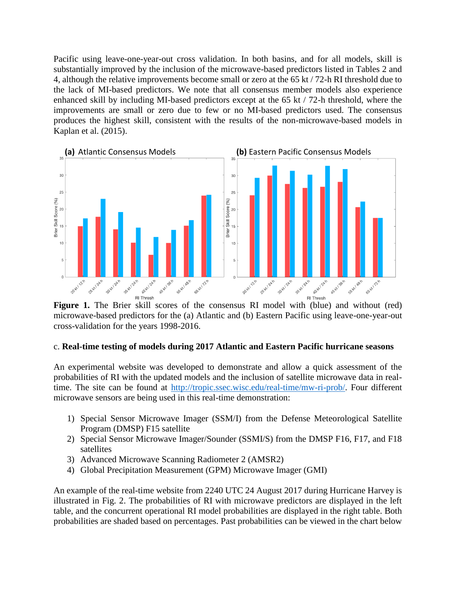Pacific using leave-one-year-out cross validation. In both basins, and for all models, skill is substantially improved by the inclusion of the microwave-based predictors listed in Tables 2 and 4, although the relative improvements become small or zero at the 65 kt / 72-h RI threshold due to the lack of MI-based predictors. We note that all consensus member models also experience enhanced skill by including MI-based predictors except at the 65 kt / 72-h threshold, where the improvements are small or zero due to few or no MI-based predictors used. The consensus produces the highest skill, consistent with the results of the non-microwave-based models in Kaplan et al. (2015).



**Figure 1.** The Brier skill scores of the consensus RI model with (blue) and without (red) microwave-based predictors for the (a) Atlantic and (b) Eastern Pacific using leave-one-year-out cross-validation for the years 1998-2016.

### c. **Real-time testing of models during 2017 Atlantic and Eastern Pacific hurricane seasons**

An experimental website was developed to demonstrate and allow a quick assessment of the probabilities of RI with the updated models and the inclusion of satellite microwave data in realtime. The site can be found at [http://tropic.ssec.wisc.edu/real-time/mw-ri-prob/.](http://tropic.ssec.wisc.edu/real-time/mw-ri-prob/) Four different microwave sensors are being used in this real-time demonstration:

- 1) Special Sensor Microwave Imager (SSM/I) from the Defense Meteorological Satellite Program (DMSP) F15 satellite
- 2) Special Sensor Microwave Imager/Sounder (SSMI/S) from the DMSP F16, F17, and F18 satellites
- 3) Advanced Microwave Scanning Radiometer 2 (AMSR2)
- 4) Global Precipitation Measurement (GPM) Microwave Imager (GMI)

An example of the real-time website from 2240 UTC 24 August 2017 during Hurricane Harvey is illustrated in Fig. 2. The probabilities of RI with microwave predictors are displayed in the left table, and the concurrent operational RI model probabilities are displayed in the right table. Both probabilities are shaded based on percentages. Past probabilities can be viewed in the chart below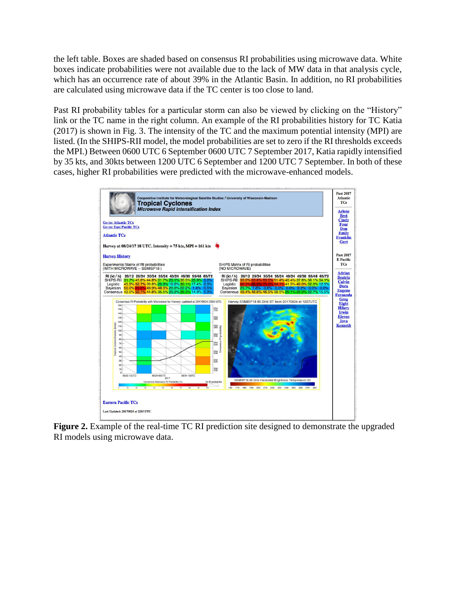the left table. Boxes are shaded based on consensus RI probabilities using microwave data. White boxes indicate probabilities were not available due to the lack of MW data in that analysis cycle, which has an occurrence rate of about 39% in the Atlantic Basin. In addition, no RI probabilities are calculated using microwave data if the TC center is too close to land.

Past RI probability tables for a particular storm can also be viewed by clicking on the "History" link or the TC name in the right column. An example of the RI probabilities history for TC Katia (2017) is shown in Fig. 3. The intensity of the TC and the maximum potential intensity (MPI) are listed. (In the SHIPS-RII model, the model probabilities are set to zero if the RI thresholds exceeds the MPI.) Between 0600 UTC 6 September 0600 UTC 7 September 2017, Katia rapidly intensified by 35 kts, and 30kts between 1200 UTC 6 September and 1200 UTC 7 September. In both of these cases, higher RI probabilities were predicted with the microwave-enhanced models.



**Figure 2.** Example of the real-time TC RI prediction site designed to demonstrate the upgraded RI models using microwave data.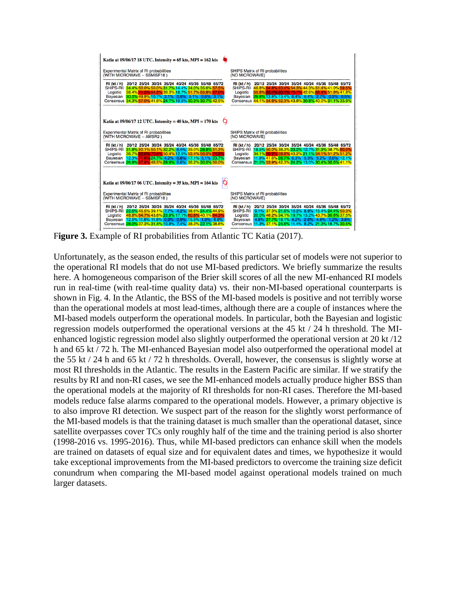| Katia at 09/06/17 18 UTC. Intensity = 65 kts, MPI = 162 kts                                                                                                                                                                                                                                                    |                                                                                                                                                                                                                                                                                                                      |
|----------------------------------------------------------------------------------------------------------------------------------------------------------------------------------------------------------------------------------------------------------------------------------------------------------------|----------------------------------------------------------------------------------------------------------------------------------------------------------------------------------------------------------------------------------------------------------------------------------------------------------------------|
| <b>Experimental Matrix of RI probabilities</b><br>(WITH MICROWAVE -- SSMISF18)                                                                                                                                                                                                                                 | SHIPS Matrix of RI probabilities<br>(NO MICROWAVE)                                                                                                                                                                                                                                                                   |
| RI (kt / h) 20/12 25/24 30/24 35/24 40/24 45/36 55/48 65/72<br>SHIPS-RII 34.4% 50.0% 50.0% 31.7% 14.4% 34.0% 35.6% 57.5%<br>Logistic 38.4% 71.2% 64.2% 39.3% 16.7% 51.7% 55.8% 67.0%<br>Bayesian 30.0% 49.9% 10.7% 3.1% 0.5% 5.1% 0.6% 3.1%<br>Consensus 34.3% 57.0% 41.6% 24.7% 10.5% 30.3% 30.7% 42.5%       | 20/12 25/24 30/24 35/24 40/24 45/36 55/48 65/72<br>RI (kt / h)<br>SHIPS-RII 46.8% 64.8% 63.4% 54.3% 44.3% 51.4% 41.0% 59.5%<br>55.8% 85.1% 80.1% 70.7% 42.6% 65.9% 51.8% 41.8%<br>Logistic<br>Bayesian 29.8% 13.8% 13.4% 6.4% 5.4% 2.7% 0.3% 0.5%<br>Consensus 44.1% 54.6% 52.3% 43.8% 30.8% 40.0% 31.1% 33.9%       |
| Katia at 09/06/17 12 UTC. Intensity = 40 kts, MPI = 170 kts                                                                                                                                                                                                                                                    |                                                                                                                                                                                                                                                                                                                      |
| <b>Experimental Matrix of RI probabilities</b><br>(WITH MICROWAVE -- AMSR2)                                                                                                                                                                                                                                    | <b>SHIPS Matrix of RI probabilities</b><br>(NO MICROWAVE)                                                                                                                                                                                                                                                            |
| 20/12 25/24 30/24 35/24 40/24 45/36 55/48 65/72<br>RI (kt / h)<br>SHIPS-RIL 31.8% 50.1% 50.1% 32.2% 6.4% 39.0% 28.8% 51.3%<br>36.7% 82.0% 70.6% 50.4% 12.5% 52.4% 56.0% 74.9%<br>Logistic<br>Bayesian 12.3% 71.6% 24.7% 4.2% 0.8% 17.1% 5.1% 23.7%<br>Consensus 26.9% 67.9% 48.5% 28.9% 6.6% 36.2% 30.0% 50.0% | 20/12 25/24 30/24 35/24 40/24 45/36 55/48 65/72<br>RI (kt / h)<br>SHIPS-RII 18.5% 50.0% 38.3% 23.2% 12.7% 31.9% 38.7% 60.0%<br>34.1% 69.9% 59.8% 43.2% 21.1% 54.1% 51.2% 51.2%<br>Logistic<br>Bayesian 11.8% 41.6% 28.7% 6.3% 5.3% 5.2% 2.0% 12.1%<br>Consensus 21.5% 53.9% 42.3% 24.2% 13.0% 30.4% 30.6% 41.1%      |
| Katia at $09/06/17$ 06 UTC. Intensity = 35 kts, MPI = 164 kts                                                                                                                                                                                                                                                  |                                                                                                                                                                                                                                                                                                                      |
| Experimental Matrix of RI probabilities<br>(WITH MICROWAVE -- SSMISF18)                                                                                                                                                                                                                                        | SHIPS Matrix of RI probabilities<br>(NO MICROWAVE)                                                                                                                                                                                                                                                                   |
| RI (kt / h) 20/12 25/24 30/24 35/24 40/24 45/36 55/48 65/72<br>SHIPS-RII 22.6% 45.5% 39.1% 7.7% 4.2% 38.6% 24.4% 44.9%<br>48.8% 54.7% 43.6% 23.8% 17.1% 60.8% 40.1% 64.3%<br>Logistic<br>Bayesian 12.5% 11.6% 11.6% 0.9% 0.9% 15.5% 1.9% 6.6%<br>Consensus 28.0% 37.3% 31.4% 10.8% 7.4% 38.3% 22.1% 38.6%      | 20/12 25/24 30/24 35/24 40/24 45/36 55/48 65/72<br>RI (kt / h)<br>SHIPS-RIL 9.1% 37.3% 21.6% 10.2% 8.8% 15.4% 24.4% 50.3%<br>20.0% 46.2% 34.1% 19.7% 13.2% 43.7% 30.6% 37.5%<br>Logistic<br>4.8% 27.7% 18.1% 4.2% 2.6% 4.8% 1.2% 3.8%<br><b>Bayesian</b><br>Consensus 11.3% 37.1% 24.6% 11.4% 8.2% 21.3% 18.7% 30.5% |

Figure 3. Example of RI probabilities from Atlantic TC Katia (2017).

Unfortunately, as the season ended, the results of this particular set of models were not superior to the operational RI models that do not use MI-based predictors. We briefly summarize the results here. A homogeneous comparison of the Brier skill scores of all the new MI-enhanced RI models run in real-time (with real-time quality data) vs. their non-MI-based operational counterparts is shown in Fig. 4. In the Atlantic, the BSS of the MI-based models is positive and not terribly worse than the operational models at most lead-times, although there are a couple of instances where the MI-based models outperform the operational models. In particular, both the Bayesian and logistic regression models outperformed the operational versions at the 45 kt / 24 h threshold. The MIenhanced logistic regression model also slightly outperformed the operational version at 20 kt /12 h and 65 kt / 72 h. The MI-enhanced Bayesian model also outperformed the operational model at the 55 kt / 24 h and 65 kt / 72 h thresholds. Overall, however, the consensus is slightly worse at most RI thresholds in the Atlantic. The results in the Eastern Pacific are similar. If we stratify the results by RI and non-RI cases, we see the MI-enhanced models actually produce higher BSS than the operational models at the majority of RI thresholds for non-RI cases. Therefore the MI-based models reduce false alarms compared to the operational models. However, a primary objective is to also improve RI detection. We suspect part of the reason for the slightly worst performance of the MI-based models is that the training dataset is much smaller than the operational dataset, since satellite overpasses cover TCs only roughly half of the time and the training period is also shorter (1998-2016 vs. 1995-2016). Thus, while MI-based predictors can enhance skill when the models are trained on datasets of equal size and for equivalent dates and times, we hypothesize it would take exceptional improvements from the MI-based predictors to overcome the training size deficit conundrum when comparing the MI-based model against operational models trained on much larger datasets.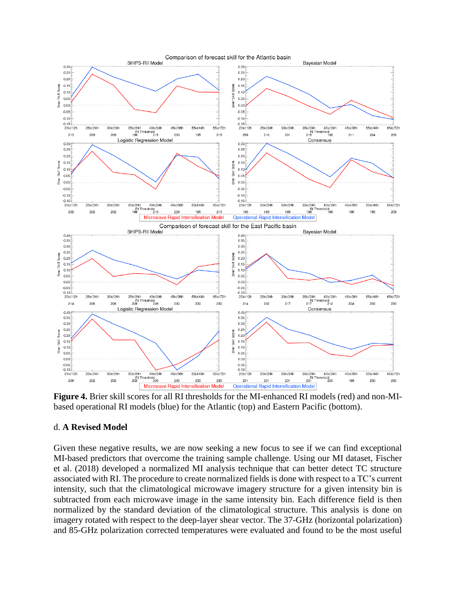

**Figure 4.** Brier skill scores for all RI thresholds for the MI-enhanced RI models (red) and non-MIbased operational RI models (blue) for the Atlantic (top) and Eastern Pacific (bottom).

#### d. **A Revised Model**

Given these negative results, we are now seeking a new focus to see if we can find exceptional MI-based predictors that overcome the training sample challenge. Using our MI dataset, Fischer et al. (2018) developed a normalized MI analysis technique that can better detect TC structure associated with RI. The procedure to create normalized fields is done with respect to a TC's current intensity, such that the climatological microwave imagery structure for a given intensity bin is subtracted from each microwave image in the same intensity bin. Each difference field is then normalized by the standard deviation of the climatological structure. This analysis is done on imagery rotated with respect to the deep-layer shear vector. The 37-GHz (horizontal polarization) and 85-GHz polarization corrected temperatures were evaluated and found to be the most useful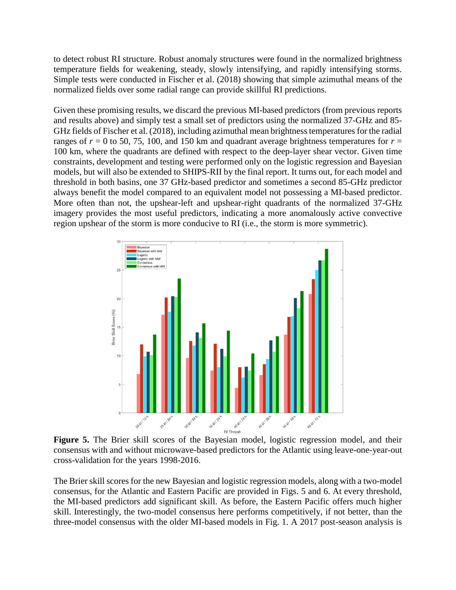to detect robust RI structure. Robust anomaly structures were found in the normalized brightness temperature fields for weakening, steady, slowly intensifying, and rapidly intensifying storms. Simple tests were conducted in Fischer et al. (2018) showing that simple azimuthal means of the normalized fields over some radial range can provide skillful RI predictions.

Given these promising results, we discard the previous MI-based predictors (from previous reports and results above) and simply test a small set of predictors using the normalized 37-GHz and 85- GHz fields of Fischer et al. (2018), including azimuthal mean brightness temperatures for the radial ranges of  $r = 0$  to 50, 75, 100, and 150 km and quadrant average brightness temperatures for  $r =$ 100 km, where the quadrants are defined with respect to the deep-layer shear vector. Given time constraints, development and testing were performed only on the logistic regression and Bayesian models, but will also be extended to SHIPS-RII by the final report. It turns out, for each model and threshold in both basins, one 37 GHz-based predictor and sometimes a second 85-GHz predictor always benefit the model compared to an equivalent model not possessing a MI-based predictor. More often than not, the upshear-left and upshear-right quadrants of the normalized 37-GHz imagery provides the most useful predictors, indicating a more anomalously active convective region upshear of the storm is more conducive to RI (i.e., the storm is more symmetric).



Figure 5. The Brier skill scores of the Bayesian model, logistic regression model, and their consensus with and without microwave-based predictors for the Atlantic using leave-one-year-out cross-validation for the years 1998-2016.

The Brier skill scores for the new Bayesian and logistic regression models, along with a two-model consensus, for the Atlantic and Eastern Pacific are provided in Figs. 5 and 6. At every threshold, the MI-based predictors add significant skill. As before, the Eastern Pacific offers much higher skill. Interestingly, the two-model consensus here performs competitively, if not better, than the three-model consensus with the older MI-based models in Fig. 1. A 2017 post-season analysis is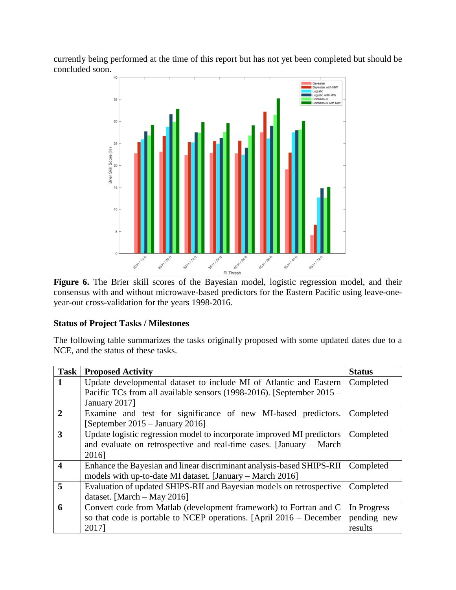currently being performed at the time of this report but has not yet been completed but should be concluded soon.



consensus with and without microwave-based predictors for the Eastern Pacific using leave-oneyear-out cross-validation for the years 1998-2016.

### **Status of Project Tasks / Milestones**

The following table summarizes the tasks originally proposed with some updated dates due to a NCE, and the status of these tasks.

| <b>Task</b>             | <b>Proposed Activity</b>                                               | <b>Status</b> |
|-------------------------|------------------------------------------------------------------------|---------------|
|                         | Update developmental dataset to include MI of Atlantic and Eastern     | Completed     |
|                         | Pacific TCs from all available sensors (1998-2016). [September 2015 –  |               |
|                         | January 2017]                                                          |               |
| $\mathbf{2}$            | Examine and test for significance of new MI-based predictors.          | Completed     |
|                         | [September $2015 -$ January 2016]                                      |               |
| 3                       | Update logistic regression model to incorporate improved MI predictors | Completed     |
|                         | and evaluate on retrospective and real-time cases. [January – March]   |               |
|                         | 2016]                                                                  |               |
| $\overline{\mathbf{4}}$ | Enhance the Bayesian and linear discriminant analysis-based SHIPS-RII  | Completed     |
|                         | models with up-to-date MI dataset. [January – March 2016]              |               |
| 5                       | Evaluation of updated SHIPS-RII and Bayesian models on retrospective   | Completed     |
|                         | dataset. [March $-$ May 2016]                                          |               |
| 6                       | Convert code from Matlab (development framework) to Fortran and C      | In Progress   |
|                         | so that code is portable to NCEP operations. [April 2016 – December    | pending new   |
|                         | 20171                                                                  | results       |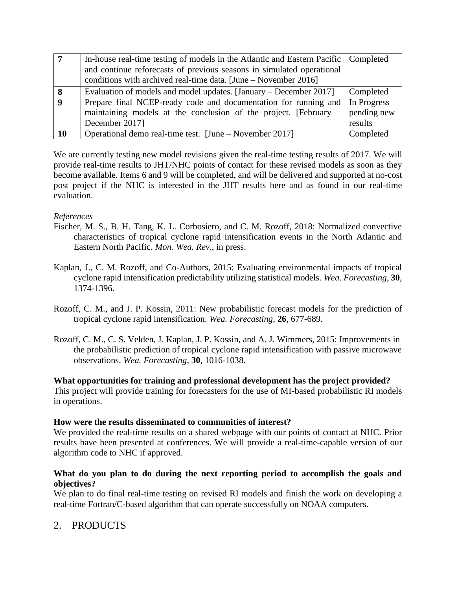|           | In-house real-time testing of models in the Atlantic and Eastern Pacific   Completed                                                     |             |
|-----------|------------------------------------------------------------------------------------------------------------------------------------------|-------------|
|           | and continue reforecasts of previous seasons in simulated operational<br>conditions with archived real-time data. [June – November 2016] |             |
|           |                                                                                                                                          |             |
|           | Evaluation of models and model updates. [January – December 2017]                                                                        | Completed   |
|           | Prepare final NCEP-ready code and documentation for running and   In Progress                                                            |             |
|           | maintaining models at the conclusion of the project. [February –                                                                         | pending new |
|           | December 2017]                                                                                                                           | results     |
| <b>10</b> | Operational demo real-time test. [June – November 2017]                                                                                  | Completed   |

We are currently testing new model revisions given the real-time testing results of 2017. We will provide real-time results to JHT/NHC points of contact for these revised models as soon as they become available. Items 6 and 9 will be completed, and will be delivered and supported at no-cost post project if the NHC is interested in the JHT results here and as found in our real-time evaluation.

### *References*

- Fischer, M. S., B. H. Tang, K. L. Corbosiero, and C. M. Rozoff, 2018: Normalized convective characteristics of tropical cyclone rapid intensification events in the North Atlantic and Eastern North Pacific. *Mon. Wea. Rev.*, in press.
- Kaplan, J., C. M. Rozoff, and Co-Authors, 2015: Evaluating environmental impacts of tropical cyclone rapid intensification predictability utilizing statistical models. *Wea. Forecasting*, **30**, 1374-1396.
- Rozoff, C. M., and J. P. Kossin, 2011: New probabilistic forecast models for the prediction of tropical cyclone rapid intensification. *Wea. Forecasting*, **26**, 677-689.
- Rozoff, C. M., C. S. Velden, J. Kaplan, J. P. Kossin, and A. J. Wimmers, 2015: Improvements in the probabilistic prediction of tropical cyclone rapid intensification with passive microwave observations. *Wea. Forecasting*, **30**, 1016-1038.

**What opportunities for training and professional development has the project provided?**

This project will provide training for forecasters for the use of MI-based probabilistic RI models in operations.

### **How were the results disseminated to communities of interest?**

We provided the real-time results on a shared webpage with our points of contact at NHC. Prior results have been presented at conferences. We will provide a real-time-capable version of our algorithm code to NHC if approved.

### **What do you plan to do during the next reporting period to accomplish the goals and objectives?**

We plan to do final real-time testing on revised RI models and finish the work on developing a real-time Fortran/C-based algorithm that can operate successfully on NOAA computers.

# 2. PRODUCTS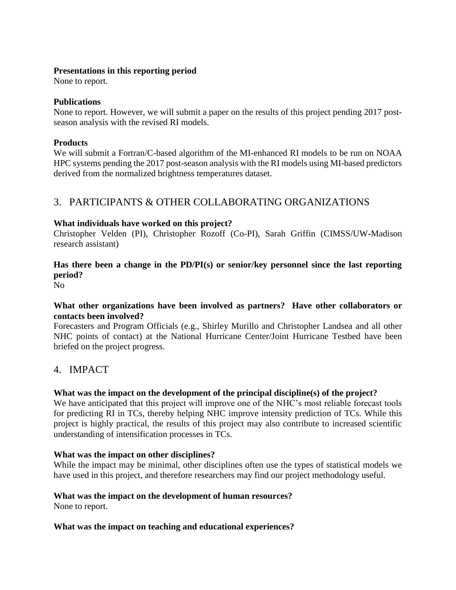### **Presentations in this reporting period**

None to report.

### **Publications**

None to report. However, we will submit a paper on the results of this project pending 2017 postseason analysis with the revised RI models.

### **Products**

We will submit a Fortran/C-based algorithm of the MI-enhanced RI models to be run on NOAA HPC systems pending the 2017 post-season analysis with the RI models using MI-based predictors derived from the normalized brightness temperatures dataset.

# 3. PARTICIPANTS & OTHER COLLABORATING ORGANIZATIONS

### **What individuals have worked on this project?**

Christopher Velden (PI), Christopher Rozoff (Co-PI), Sarah Griffin (CIMSS/UW-Madison research assistant)

### **Has there been a change in the PD/PI(s) or senior/key personnel since the last reporting period?**

No

### **What other organizations have been involved as partners? Have other collaborators or contacts been involved?**

Forecasters and Program Officials (e.g., Shirley Murillo and Christopher Landsea and all other NHC points of contact) at the National Hurricane Center/Joint Hurricane Testbed have been briefed on the project progress.

# 4. IMPACT

### **What was the impact on the development of the principal discipline(s) of the project?**

We have anticipated that this project will improve one of the NHC's most reliable forecast tools for predicting RI in TCs, thereby helping NHC improve intensity prediction of TCs. While this project is highly practical, the results of this project may also contribute to increased scientific understanding of intensification processes in TCs.

### **What was the impact on other disciplines?**

While the impact may be minimal, other disciplines often use the types of statistical models we have used in this project, and therefore researchers may find our project methodology useful.

# **What was the impact on the development of human resources?**

None to report.

### **What was the impact on teaching and educational experiences?**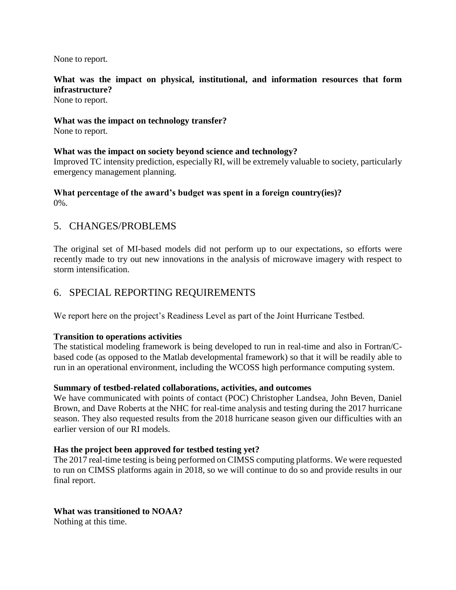None to report.

## **What was the impact on physical, institutional, and information resources that form infrastructure?**

None to report.

### **What was the impact on technology transfer?**

None to report.

### **What was the impact on society beyond science and technology?**

Improved TC intensity prediction, especially RI, will be extremely valuable to society, particularly emergency management planning.

#### **What percentage of the award's budget was spent in a foreign country(ies)?**  $0\%$ .

## 5. CHANGES/PROBLEMS

The original set of MI-based models did not perform up to our expectations, so efforts were recently made to try out new innovations in the analysis of microwave imagery with respect to storm intensification.

## 6. SPECIAL REPORTING REQUIREMENTS

We report here on the project's Readiness Level as part of the Joint Hurricane Testbed.

### **Transition to operations activities**

The statistical modeling framework is being developed to run in real-time and also in Fortran/Cbased code (as opposed to the Matlab developmental framework) so that it will be readily able to run in an operational environment, including the WCOSS high performance computing system.

### **Summary of testbed-related collaborations, activities, and outcomes**

We have communicated with points of contact (POC) Christopher Landsea, John Beven, Daniel Brown, and Dave Roberts at the NHC for real-time analysis and testing during the 2017 hurricane season. They also requested results from the 2018 hurricane season given our difficulties with an earlier version of our RI models.

### **Has the project been approved for testbed testing yet?**

The 2017 real-time testing is being performed on CIMSS computing platforms. We were requested to run on CIMSS platforms again in 2018, so we will continue to do so and provide results in our final report.

## **What was transitioned to NOAA?**

Nothing at this time.